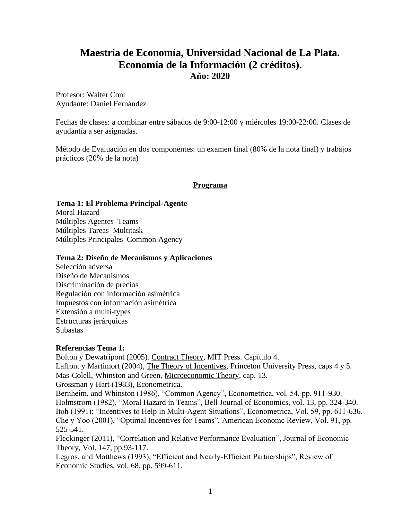# **Maestría de Economía, Universidad Nacional de La Plata. Economía de la Información (2 créditos). Año: 2020**

Profesor: Walter Cont Ayudante: Daniel Fernández

Fechas de clases: a combinar entre sábados de 9:00-12:00 y miércoles 19:00-22:00. Clases de ayudantía a ser asignadas.

Método de Evaluación en dos componentes: un examen final (80% de la nota final) y trabajos prácticos (20% de la nota)

### **Programa**

#### **Tema 1: El Problema Principal-Agente**

Moral Hazard Múltiples Agentes–Teams Múltiples Tareas–Multitask Múltiples Principales–Common Agency

#### **Tema 2: Diseño de Mecanismos y Aplicaciones**

Selección adversa Diseño de Mecanismos Discriminación de precios Regulación con información asimétrica Impuestos con información asimétrica Extensión a multi-types Estructuras jerárquicas Subastas

#### **Referencias Tema 1:**

525-541.

Bolton y Dewatripont (2005). Contract Theory, MIT Press. Capítulo 4. Laffont y Martimort (2004), The Theory of Incentives, Princeton University Press, caps 4 y 5. Mas-Colell, Whinston and Green, Microeconomic Theory, cap. 13. Grossman y Hart (1983), Econometrica. Bernheim, and Whinston (1986), "Common Agency", Econometrica, vol. 54, pp. 911-930. Holmstrom (1982), "Moral Hazard in Teams", Bell Journal of Economics, vol. 13, pp. 324-340. Itoh (1991); "Incentives to Help in Multi-Agent Situations", Econometrica, Vol. 59, pp. 611-636. Che y Yoo (2001), "Optimal Incentives for Teams", American Economc Review, Vol. 91, pp.

Fleckinger (2011), "Correlation and Relative Performance Evaluation", Journal of Economic Theory, Vol. 147, pp.93-117.

Legros, and Matthews (1993), "Efficient and Nearly-Efficient Partnerships", Review of Economic Studies, vol. 68, pp. 599-611.